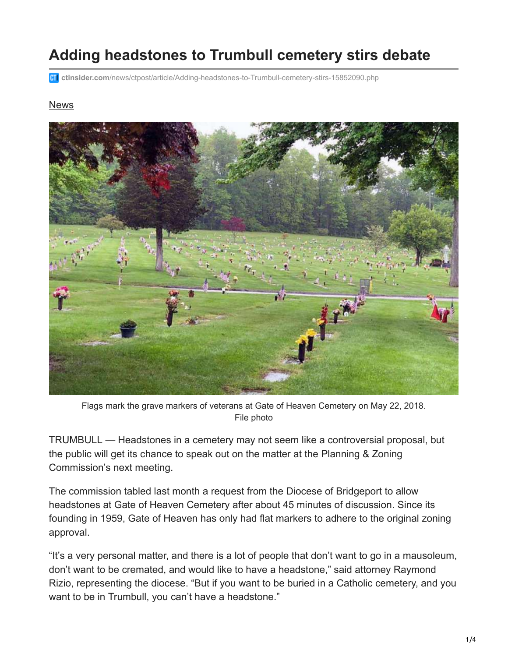## **Adding headstones to Trumbull cemetery stirs debate**

**ctinsider.com**[/news/ctpost/article/Adding-headstones-to-Trumbull-cemetery-stirs-15852090.php](https://www.ctinsider.com/news/ctpost/article/Adding-headstones-to-Trumbull-cemetery-stirs-15852090.php?cmpid=gsa-ctpost-result)

## **[News](https://www.ctinsider.com/news/)**



Flags mark the grave markers of veterans at Gate of Heaven Cemetery on May 22, 2018. File photo

TRUMBULL — Headstones in a cemetery may not seem like a controversial proposal, but the public will get its chance to speak out on the matter at the Planning & Zoning Commission's next meeting.

The commission tabled last month a request from the Diocese of Bridgeport to allow headstones at Gate of Heaven Cemetery after about 45 minutes of discussion. Since its founding in 1959, Gate of Heaven has only had flat markers to adhere to the original zoning approval.

"It's a very personal matter, and there is a lot of people that don't want to go in a mausoleum, don't want to be cremated, and would like to have a headstone," said attorney Raymond Rizio, representing the diocese. "But if you want to be buried in a Catholic cemetery, and you want to be in Trumbull, you can't have a headstone."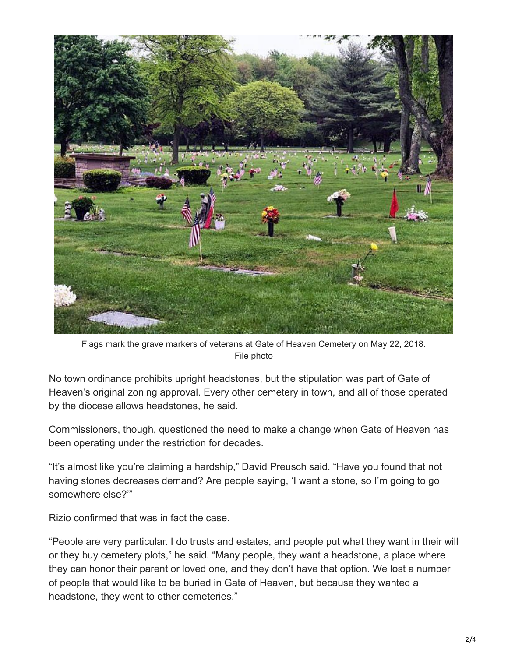

Flags mark the grave markers of veterans at Gate of Heaven Cemetery on May 22, 2018. File photo

No town ordinance prohibits upright headstones, but the stipulation was part of Gate of Heaven's original zoning approval. Every other cemetery in town, and all of those operated by the diocese allows headstones, he said.

Commissioners, though, questioned the need to make a change when Gate of Heaven has been operating under the restriction for decades.

"It's almost like you're claiming a hardship," David Preusch said. "Have you found that not having stones decreases demand? Are people saying, 'I want a stone, so I'm going to go somewhere else?'"

Rizio confirmed that was in fact the case.

"People are very particular. I do trusts and estates, and people put what they want in their will or they buy cemetery plots," he said. "Many people, they want a headstone, a place where they can honor their parent or loved one, and they don't have that option. We lost a number of people that would like to be buried in Gate of Heaven, but because they wanted a headstone, they went to other cemeteries."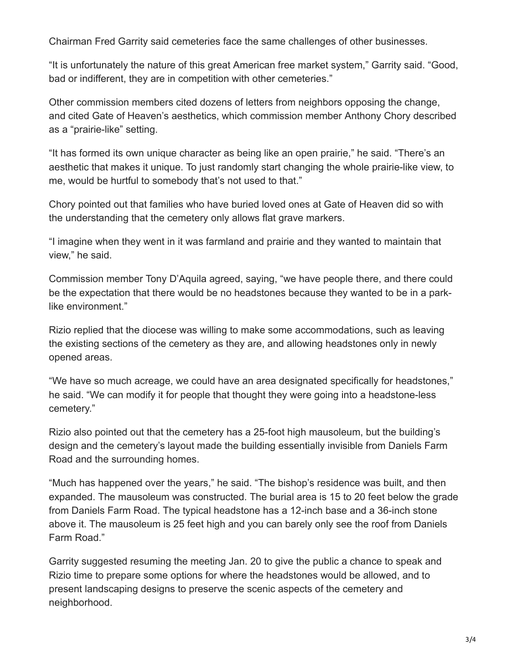Chairman Fred Garrity said cemeteries face the same challenges of other businesses.

"It is unfortunately the nature of this great American free market system," Garrity said. "Good, bad or indifferent, they are in competition with other cemeteries."

Other commission members cited dozens of letters from neighbors opposing the change, and cited Gate of Heaven's aesthetics, which commission member Anthony Chory described as a "prairie-like" setting.

"It has formed its own unique character as being like an open prairie," he said. "There's an aesthetic that makes it unique. To just randomly start changing the whole prairie-like view, to me, would be hurtful to somebody that's not used to that."

Chory pointed out that families who have buried loved ones at Gate of Heaven did so with the understanding that the cemetery only allows flat grave markers.

"I imagine when they went in it was farmland and prairie and they wanted to maintain that view," he said.

Commission member Tony D'Aquila agreed, saying, "we have people there, and there could be the expectation that there would be no headstones because they wanted to be in a parklike environment."

Rizio replied that the diocese was willing to make some accommodations, such as leaving the existing sections of the cemetery as they are, and allowing headstones only in newly opened areas.

"We have so much acreage, we could have an area designated specifically for headstones," he said. "We can modify it for people that thought they were going into a headstone-less cemetery."

Rizio also pointed out that the cemetery has a 25-foot high mausoleum, but the building's design and the cemetery's layout made the building essentially invisible from Daniels Farm Road and the surrounding homes.

"Much has happened over the years," he said. "The bishop's residence was built, and then expanded. The mausoleum was constructed. The burial area is 15 to 20 feet below the grade from Daniels Farm Road. The typical headstone has a 12-inch base and a 36-inch stone above it. The mausoleum is 25 feet high and you can barely only see the roof from Daniels Farm Road."

Garrity suggested resuming the meeting Jan. 20 to give the public a chance to speak and Rizio time to prepare some options for where the headstones would be allowed, and to present landscaping designs to preserve the scenic aspects of the cemetery and neighborhood.